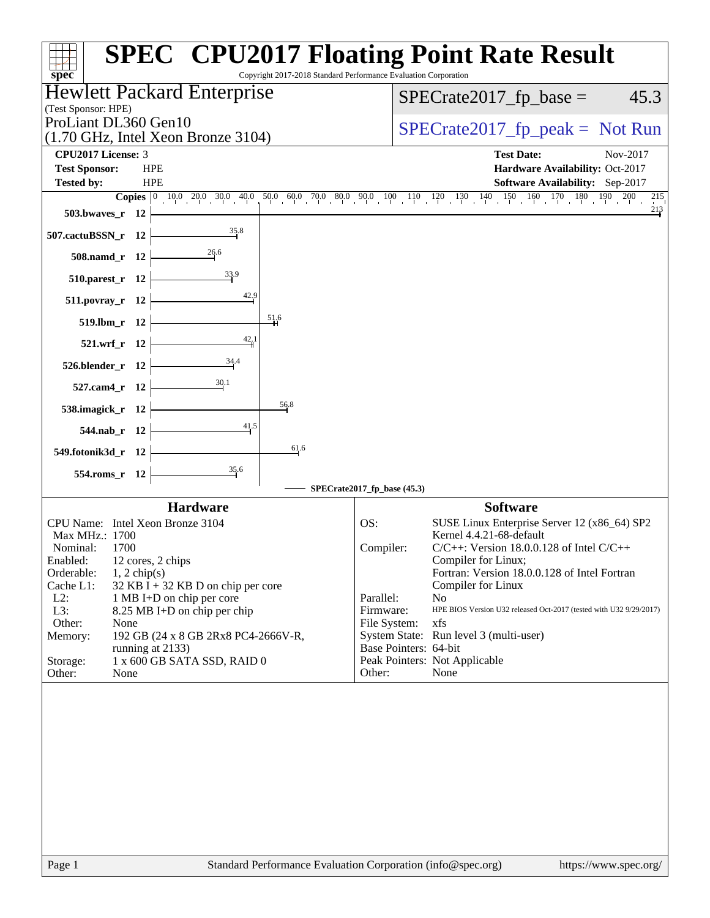| $spec^*$                                                                                 | <b>SPEC<sup>®</sup> CPU2017 Floating Point Rate Result</b><br>Copyright 2017-2018 Standard Performance Evaluation Corporation |
|------------------------------------------------------------------------------------------|-------------------------------------------------------------------------------------------------------------------------------|
| Hewlett Packard Enterprise                                                               | $SPECrate2017_fp\_base =$<br>45.3                                                                                             |
| (Test Sponsor: HPE)<br>ProLiant DL360 Gen10                                              |                                                                                                                               |
| (1.70 GHz, Intel Xeon Bronze 3104)                                                       | $SPECrate2017_fp\_peak = Not Run$                                                                                             |
| <b>CPU2017 License: 3</b>                                                                | <b>Test Date:</b><br>Nov-2017                                                                                                 |
| <b>Test Sponsor:</b><br><b>HPE</b>                                                       | Hardware Availability: Oct-2017                                                                                               |
| <b>Tested by:</b><br><b>HPE</b>                                                          | Software Availability: Sep-2017<br>215                                                                                        |
| 503.bwaves_r 12                                                                          | 213                                                                                                                           |
| 35.8<br>507.cactuBSSN_r 12                                                               |                                                                                                                               |
| 508.namd_r 12                                                                            |                                                                                                                               |
| 33.9<br>$510.parest_r$ 12                                                                |                                                                                                                               |
| 42.9<br>511.povray_r 12                                                                  |                                                                                                                               |
| 51.6<br>519.lbm_r 12                                                                     |                                                                                                                               |
| $\frac{42}{9}$ <sup>1</sup><br>521.wrf_r 12                                              |                                                                                                                               |
| 34.4<br>526.blender_r 12                                                                 |                                                                                                                               |
| $\frac{30.1}{2}$<br>527.cam4_r 12                                                        |                                                                                                                               |
| 56.8<br>538.imagick_r 12                                                                 |                                                                                                                               |
| 41.5<br>544.nab_r 12                                                                     |                                                                                                                               |
| 61.6<br>549.fotonik3d_r 12                                                               |                                                                                                                               |
| $\frac{35.6}{4}$<br>554.roms_r 12                                                        |                                                                                                                               |
|                                                                                          | SPECrate2017_fp_base (45.3)                                                                                                   |
| <b>Hardware</b><br>CPU Name: Intel Xeon Bronze 3104                                      | <b>Software</b><br>OS:<br>SUSE Linux Enterprise Server 12 (x86_64) SP2                                                        |
| Max MHz.: 1700                                                                           | Kernel 4.4.21-68-default                                                                                                      |
| Nominal:<br>1700<br>12 cores, 2 chips<br>Enabled:                                        | $C/C++$ : Version 18.0.0.128 of Intel $C/C++$<br>Compiler:<br>Compiler for Linux;                                             |
| $1, 2$ chip(s)<br>Orderable:                                                             | Fortran: Version 18.0.0.128 of Intel Fortran                                                                                  |
| Cache L1:<br>$32$ KB I + 32 KB D on chip per core<br>$L2$ :<br>1 MB I+D on chip per core | Compiler for Linux<br>Parallel:<br>No                                                                                         |
| L3:<br>8.25 MB I+D on chip per chip                                                      | Firmware:<br>HPE BIOS Version U32 released Oct-2017 (tested with U32 9/29/2017)                                               |
| Other:<br>None                                                                           | File System:<br>xfs                                                                                                           |
| 192 GB (24 x 8 GB 2Rx8 PC4-2666V-R,<br>Memory:<br>running at 2133)                       | System State: Run level 3 (multi-user)<br>Base Pointers: 64-bit                                                               |
| 1 x 600 GB SATA SSD, RAID 0<br>Storage:                                                  | Peak Pointers: Not Applicable                                                                                                 |
| Other:<br>None                                                                           | Other:<br>None                                                                                                                |
|                                                                                          |                                                                                                                               |
|                                                                                          |                                                                                                                               |
| Page 1                                                                                   | Standard Performance Evaluation Corporation (info@spec.org)<br>https://www.spec.org/                                          |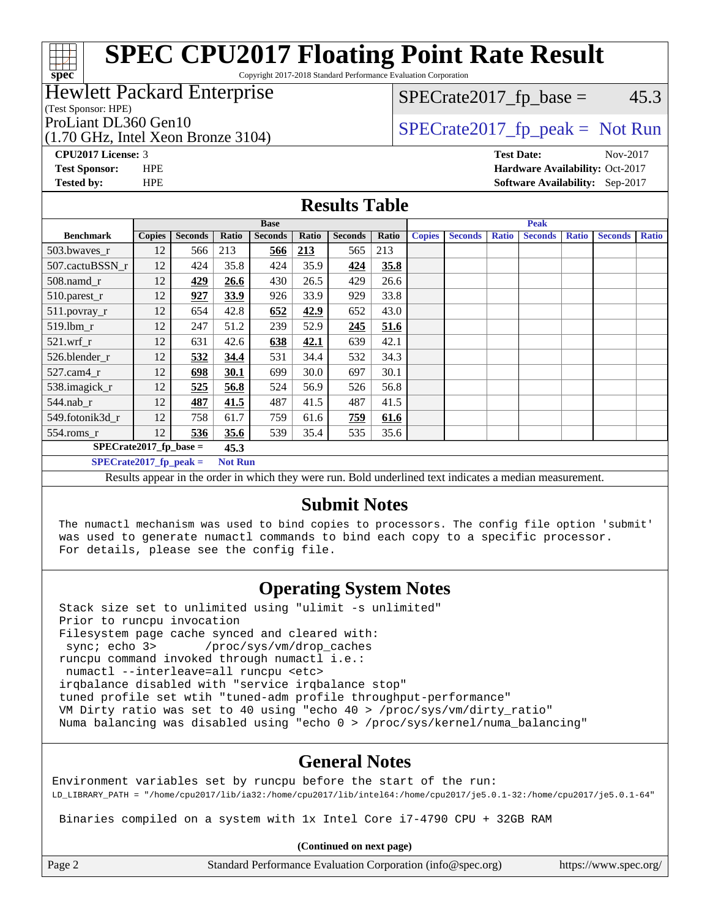Copyright 2017-2018 Standard Performance Evaluation Corporation

#### Hewlett Packard Enterprise

(Test Sponsor: HPE)

**[spec](http://www.spec.org/)**

(1.70 GHz, Intel Xeon Bronze 3104)

 $SPECTate2017<sub>fp</sub> base =  $45.3$$ 

### ProLiant DL360 Gen10  $SPECTA = 3104$   $SPECTA = 2017$  fp\_peak = Not Run

**[CPU2017 License:](http://www.spec.org/auto/cpu2017/Docs/result-fields.html#CPU2017License)** 3 **[Test Date:](http://www.spec.org/auto/cpu2017/Docs/result-fields.html#TestDate)** Nov-2017 **[Test Sponsor:](http://www.spec.org/auto/cpu2017/Docs/result-fields.html#TestSponsor)** HPE **[Hardware Availability:](http://www.spec.org/auto/cpu2017/Docs/result-fields.html#HardwareAvailability)** Oct-2017 **[Tested by:](http://www.spec.org/auto/cpu2017/Docs/result-fields.html#Testedby)** HPE **[Software Availability:](http://www.spec.org/auto/cpu2017/Docs/result-fields.html#SoftwareAvailability)** Sep-2017

#### **[Results Table](http://www.spec.org/auto/cpu2017/Docs/result-fields.html#ResultsTable)**

|                                                                                                        | <b>Base</b>   |                |       |                |       | <b>Peak</b>    |       |               |                |              |                |              |                |              |
|--------------------------------------------------------------------------------------------------------|---------------|----------------|-------|----------------|-------|----------------|-------|---------------|----------------|--------------|----------------|--------------|----------------|--------------|
| <b>Benchmark</b>                                                                                       | <b>Copies</b> | <b>Seconds</b> | Ratio | <b>Seconds</b> | Ratio | <b>Seconds</b> | Ratio | <b>Copies</b> | <b>Seconds</b> | <b>Ratio</b> | <b>Seconds</b> | <b>Ratio</b> | <b>Seconds</b> | <b>Ratio</b> |
| 503.bwaves_r                                                                                           | 12            | 566            | 213   | 566            | 213   | 565            | 213   |               |                |              |                |              |                |              |
| 507.cactuBSSN r                                                                                        | 12            | 424            | 35.8  | 424            | 35.9  | 424            | 35.8  |               |                |              |                |              |                |              |
| 508.namd_r                                                                                             | 12            | 429            | 26.6  | 430            | 26.5  | 429            | 26.6  |               |                |              |                |              |                |              |
| 510.parest_r                                                                                           | 12            | 927            | 33.9  | 926            | 33.9  | 929            | 33.8  |               |                |              |                |              |                |              |
| 511.povray_r                                                                                           | 12            | 654            | 42.8  | 652            | 42.9  | 652            | 43.0  |               |                |              |                |              |                |              |
| 519.lbm r                                                                                              | 12            | 247            | 51.2  | 239            | 52.9  | 245            | 51.6  |               |                |              |                |              |                |              |
| $521$ .wrf r                                                                                           | 12            | 631            | 42.6  | 638            | 42.1  | 639            | 42.1  |               |                |              |                |              |                |              |
| 526.blender r                                                                                          | 12            | 532            | 34.4  | 531            | 34.4  | 532            | 34.3  |               |                |              |                |              |                |              |
| 527.cam4_r                                                                                             | 12            | 698            | 30.1  | 699            | 30.0  | 697            | 30.1  |               |                |              |                |              |                |              |
| 538.imagick_r                                                                                          | 12            | 525            | 56.8  | 524            | 56.9  | 526            | 56.8  |               |                |              |                |              |                |              |
| $544$ .nab_r                                                                                           | 12            | 487            | 41.5  | 487            | 41.5  | 487            | 41.5  |               |                |              |                |              |                |              |
| 549.fotonik3d r                                                                                        | 12            | 758            | 61.7  | 759            | 61.6  | 759            | 61.6  |               |                |              |                |              |                |              |
| $554$ .roms_r                                                                                          | 12            | 536            | 35.6  | 539            | 35.4  | 535            | 35.6  |               |                |              |                |              |                |              |
| $SPECrate2017_fp\_base =$                                                                              |               |                | 45.3  |                |       |                |       |               |                |              |                |              |                |              |
| $SPECrate2017_fp\_peak =$<br><b>Not Run</b>                                                            |               |                |       |                |       |                |       |               |                |              |                |              |                |              |
| Decute appear in the order in which they were run. Rold underlined text indicates a median measurement |               |                |       |                |       |                |       |               |                |              |                |              |                |              |

Results appear in the [order in which they were run.](http://www.spec.org/auto/cpu2017/Docs/result-fields.html#RunOrder) Bold underlined text [indicates a median measurement.](http://www.spec.org/auto/cpu2017/Docs/result-fields.html#Median)

#### **[Submit Notes](http://www.spec.org/auto/cpu2017/Docs/result-fields.html#SubmitNotes)**

 The numactl mechanism was used to bind copies to processors. The config file option 'submit' was used to generate numactl commands to bind each copy to a specific processor. For details, please see the config file.

#### **[Operating System Notes](http://www.spec.org/auto/cpu2017/Docs/result-fields.html#OperatingSystemNotes)**

 Stack size set to unlimited using "ulimit -s unlimited" Prior to runcpu invocation Filesystem page cache synced and cleared with: sync; echo 3> /proc/sys/vm/drop\_caches runcpu command invoked through numactl i.e.: numactl --interleave=all runcpu <etc> irqbalance disabled with "service irqbalance stop" tuned profile set wtih "tuned-adm profile throughput-performance" VM Dirty ratio was set to 40 using "echo 40 > /proc/sys/vm/dirty\_ratio" Numa balancing was disabled using "echo 0 > /proc/sys/kernel/numa\_balancing"

#### **[General Notes](http://www.spec.org/auto/cpu2017/Docs/result-fields.html#GeneralNotes)**

Environment variables set by runcpu before the start of the run: LD\_LIBRARY\_PATH = "/home/cpu2017/lib/ia32:/home/cpu2017/lib/intel64:/home/cpu2017/je5.0.1-32:/home/cpu2017/je5.0.1-64"

Binaries compiled on a system with 1x Intel Core i7-4790 CPU + 32GB RAM

**(Continued on next page)**

| Page |  |
|------|--|
|      |  |

Page 2 Standard Performance Evaluation Corporation [\(info@spec.org\)](mailto:info@spec.org) <https://www.spec.org/>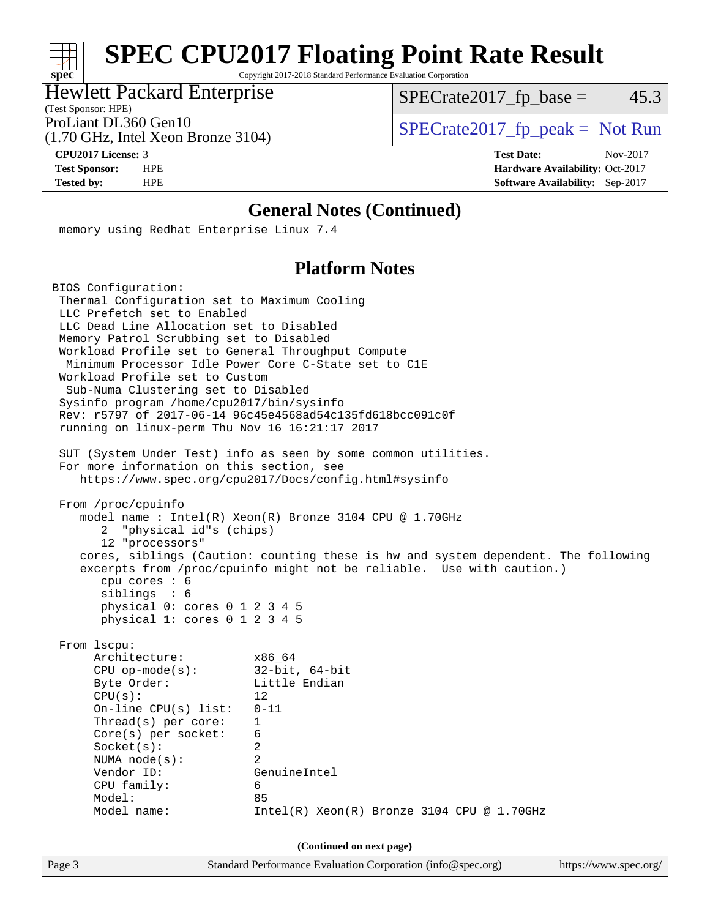Copyright 2017-2018 Standard Performance Evaluation Corporation

#### Hewlett Packard Enterprise

(Test Sponsor: HPE)

 $SPECTate2017<sub>fp</sub> base =  $45.3$$ 

(1.70 GHz, Intel Xeon Bronze 3104)

ProLiant DL360 Gen10  $SPECTA = 3104$   $SPECTA = 2017$  fp\_peak = Not Run

**[spec](http://www.spec.org/)**

**[CPU2017 License:](http://www.spec.org/auto/cpu2017/Docs/result-fields.html#CPU2017License)** 3 **[Test Date:](http://www.spec.org/auto/cpu2017/Docs/result-fields.html#TestDate)** Nov-2017 **[Test Sponsor:](http://www.spec.org/auto/cpu2017/Docs/result-fields.html#TestSponsor)** HPE **[Hardware Availability:](http://www.spec.org/auto/cpu2017/Docs/result-fields.html#HardwareAvailability)** Oct-2017 **[Tested by:](http://www.spec.org/auto/cpu2017/Docs/result-fields.html#Testedby)** HPE **[Software Availability:](http://www.spec.org/auto/cpu2017/Docs/result-fields.html#SoftwareAvailability)** Sep-2017

#### **[General Notes \(Continued\)](http://www.spec.org/auto/cpu2017/Docs/result-fields.html#GeneralNotes)**

memory using Redhat Enterprise Linux 7.4

#### **[Platform Notes](http://www.spec.org/auto/cpu2017/Docs/result-fields.html#PlatformNotes)**

Page 3 Standard Performance Evaluation Corporation [\(info@spec.org\)](mailto:info@spec.org) <https://www.spec.org/> BIOS Configuration: Thermal Configuration set to Maximum Cooling LLC Prefetch set to Enabled LLC Dead Line Allocation set to Disabled Memory Patrol Scrubbing set to Disabled Workload Profile set to General Throughput Compute Minimum Processor Idle Power Core C-State set to C1E Workload Profile set to Custom Sub-Numa Clustering set to Disabled Sysinfo program /home/cpu2017/bin/sysinfo Rev: r5797 of 2017-06-14 96c45e4568ad54c135fd618bcc091c0f running on linux-perm Thu Nov 16 16:21:17 2017 SUT (System Under Test) info as seen by some common utilities. For more information on this section, see <https://www.spec.org/cpu2017/Docs/config.html#sysinfo> From /proc/cpuinfo model name : Intel(R) Xeon(R) Bronze 3104 CPU @ 1.70GHz 2 "physical id"s (chips) 12 "processors" cores, siblings (Caution: counting these is hw and system dependent. The following excerpts from /proc/cpuinfo might not be reliable. Use with caution.) cpu cores : 6 siblings : 6 physical 0: cores 0 1 2 3 4 5 physical 1: cores 0 1 2 3 4 5 From lscpu: Architecture: x86\_64 CPU op-mode(s): 32-bit, 64-bit Byte Order: Little Endian  $CPU(s):$  12 On-line CPU(s) list: 0-11 Thread(s) per core: 1 Core(s) per socket: 6 Socket(s): 2 NUMA node(s): 2 Vendor ID: GenuineIntel CPU family: 6 Model: 85 Model name: Intel(R) Xeon(R) Bronze 3104 CPU @ 1.70GHz **(Continued on next page)**

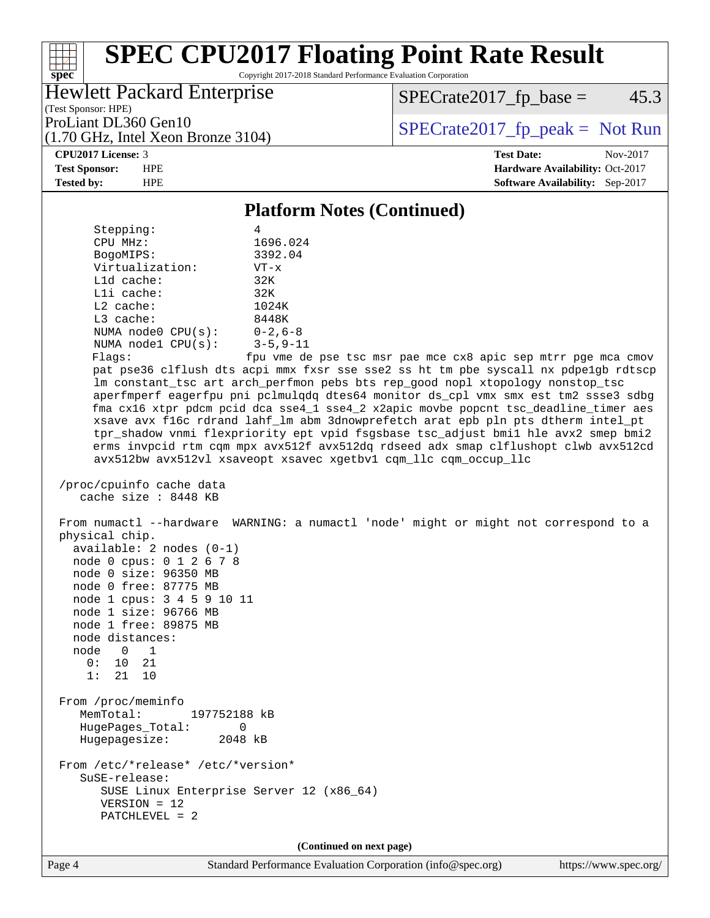Copyright 2017-2018 Standard Performance Evaluation Corporation

### Hewlett Packard Enterprise

(1.70 GHz, Intel Xeon Bronze 3104)

 $SPECTate2017_fp\_base = 45.3$ 

(Test Sponsor: HPE)

ProLiant DL360 Gen10<br>(1.70 GHz, Intel Xeon Bronze 3104) [SPECrate2017\\_fp\\_peak =](http://www.spec.org/auto/cpu2017/Docs/result-fields.html#SPECrate2017fppeak) Not Run

#### **[CPU2017 License:](http://www.spec.org/auto/cpu2017/Docs/result-fields.html#CPU2017License)** 3 **[Test Date:](http://www.spec.org/auto/cpu2017/Docs/result-fields.html#TestDate)** Nov-2017

**[spec](http://www.spec.org/)**

**[Test Sponsor:](http://www.spec.org/auto/cpu2017/Docs/result-fields.html#TestSponsor)** HPE **[Hardware Availability:](http://www.spec.org/auto/cpu2017/Docs/result-fields.html#HardwareAvailability)** Oct-2017 **[Tested by:](http://www.spec.org/auto/cpu2017/Docs/result-fields.html#Testedby)** HPE **[Software Availability:](http://www.spec.org/auto/cpu2017/Docs/result-fields.html#SoftwareAvailability)** Sep-2017

#### **[Platform Notes \(Continued\)](http://www.spec.org/auto/cpu2017/Docs/result-fields.html#PlatformNotes)**

| Stepping:                                                                                                                                                                                                                     | 4                                                                                    |
|-------------------------------------------------------------------------------------------------------------------------------------------------------------------------------------------------------------------------------|--------------------------------------------------------------------------------------|
| CPU MHz:                                                                                                                                                                                                                      | 1696.024                                                                             |
| BogoMIPS:                                                                                                                                                                                                                     | 3392.04                                                                              |
| Virtualization:                                                                                                                                                                                                               | $VT - x$                                                                             |
| L1d cache:                                                                                                                                                                                                                    | 32K                                                                                  |
| Lli cache:                                                                                                                                                                                                                    | 32K                                                                                  |
| $L2$ cache:                                                                                                                                                                                                                   | 1024K                                                                                |
| L3 cache:                                                                                                                                                                                                                     | 8448K                                                                                |
| NUMA node0 CPU(s):                                                                                                                                                                                                            | $0 - 2$ , 6-8                                                                        |
| NUMA $node1$ $CPU(s):$<br>Flags:                                                                                                                                                                                              | $3 - 5, 9 - 11$<br>fpu vme de pse tsc msr pae mce cx8 apic sep mtrr pge mca cmov     |
|                                                                                                                                                                                                                               | pat pse36 clflush dts acpi mmx fxsr sse sse2 ss ht tm pbe syscall nx pdpelgb rdtscp  |
|                                                                                                                                                                                                                               | lm constant_tsc art arch_perfmon pebs bts rep_good nopl xtopology nonstop_tsc        |
|                                                                                                                                                                                                                               | aperfmperf eagerfpu pni pclmulqdq dtes64 monitor ds_cpl vmx smx est tm2 ssse3 sdbg   |
|                                                                                                                                                                                                                               | fma cx16 xtpr pdcm pcid dca sse4_1 sse4_2 x2apic movbe popcnt tsc_deadline_timer aes |
|                                                                                                                                                                                                                               | xsave avx f16c rdrand lahf_lm abm 3dnowprefetch arat epb pln pts dtherm intel_pt     |
|                                                                                                                                                                                                                               | tpr_shadow vnmi flexpriority ept vpid fsgsbase tsc_adjust bmil hle avx2 smep bmi2    |
|                                                                                                                                                                                                                               | erms invpcid rtm cqm mpx avx512f avx512dq rdseed adx smap clflushopt clwb avx512cd   |
|                                                                                                                                                                                                                               | avx512bw avx512vl xsaveopt xsavec xgetbvl cqm_llc cqm_occup_llc                      |
|                                                                                                                                                                                                                               |                                                                                      |
| /proc/cpuinfo cache data                                                                                                                                                                                                      |                                                                                      |
| cache size : 8448 KB                                                                                                                                                                                                          |                                                                                      |
|                                                                                                                                                                                                                               |                                                                                      |
| physical chip.<br>$available: 2 nodes (0-1)$<br>node 0 cpus: 0 1 2 6 7 8<br>node 0 size: 96350 MB<br>node 0 free: 87775 MB<br>node 1 cpus: 3 4 5 9 10 11<br>node 1 size: 96766 MB<br>node 1 free: 89875 MB<br>node distances: | From numactl --hardware WARNING: a numactl 'node' might or might not correspond to a |
| node 0<br>$\overline{1}$                                                                                                                                                                                                      |                                                                                      |
| 0: 10 21                                                                                                                                                                                                                      |                                                                                      |
| 1:<br>21 10                                                                                                                                                                                                                   |                                                                                      |
|                                                                                                                                                                                                                               |                                                                                      |
| From /proc/meminfo                                                                                                                                                                                                            |                                                                                      |
| MemTotal:<br>197752188 kB                                                                                                                                                                                                     |                                                                                      |
| HugePages_Total:<br>0                                                                                                                                                                                                         |                                                                                      |
| 2048 kB<br>Hugepagesize:                                                                                                                                                                                                      |                                                                                      |
|                                                                                                                                                                                                                               |                                                                                      |
| From /etc/*release* /etc/*version*                                                                                                                                                                                            |                                                                                      |
| SuSE-release:                                                                                                                                                                                                                 |                                                                                      |
| SUSE Linux Enterprise Server 12 (x86_64)<br>$VERSION = 12$                                                                                                                                                                    |                                                                                      |
| $PATCHLEVEL = 2$                                                                                                                                                                                                              |                                                                                      |
|                                                                                                                                                                                                                               |                                                                                      |
|                                                                                                                                                                                                                               | (Continued on next page)                                                             |
|                                                                                                                                                                                                                               |                                                                                      |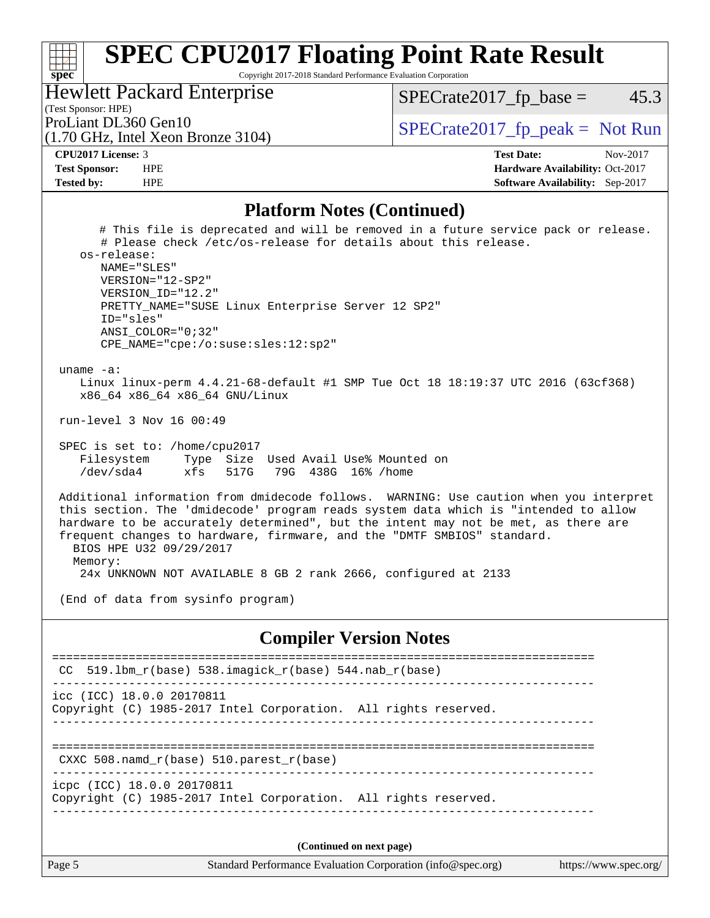Copyright 2017-2018 Standard Performance Evaluation Corporation

Hewlett Packard Enterprise

 $SPECTate2017<sub>fp</sub> base =  $45.3$$ 

#### (Test Sponsor: HPE)

(1.70 GHz, Intel Xeon Bronze 3104)

ProLiant DL360 Gen10  $SPECTA = 3104$   $SPECTA = 2017$  fp\_peak = Not Run

**[spec](http://www.spec.org/)**

 $\pm r$ 

**[CPU2017 License:](http://www.spec.org/auto/cpu2017/Docs/result-fields.html#CPU2017License)** 3 **[Test Date:](http://www.spec.org/auto/cpu2017/Docs/result-fields.html#TestDate)** Nov-2017 **[Test Sponsor:](http://www.spec.org/auto/cpu2017/Docs/result-fields.html#TestSponsor)** HPE **[Hardware Availability:](http://www.spec.org/auto/cpu2017/Docs/result-fields.html#HardwareAvailability)** Oct-2017 **[Tested by:](http://www.spec.org/auto/cpu2017/Docs/result-fields.html#Testedby)** HPE **[Software Availability:](http://www.spec.org/auto/cpu2017/Docs/result-fields.html#SoftwareAvailability)** Sep-2017

#### **[Platform Notes \(Continued\)](http://www.spec.org/auto/cpu2017/Docs/result-fields.html#PlatformNotes)**

 # This file is deprecated and will be removed in a future service pack or release. # Please check /etc/os-release for details about this release. os-release: NAME="SLES" VERSION="12-SP2" VERSION\_ID="12.2" PRETTY\_NAME="SUSE Linux Enterprise Server 12 SP2" ID="sles" ANSI\_COLOR="0;32" CPE\_NAME="cpe:/o:suse:sles:12:sp2" uname -a: Linux linux-perm 4.4.21-68-default #1 SMP Tue Oct 18 18:19:37 UTC 2016 (63cf368) x86\_64 x86\_64 x86\_64 GNU/Linux run-level 3 Nov 16 00:49 SPEC is set to: /home/cpu2017 Filesystem Type Size Used Avail Use% Mounted on /dev/sda4 xfs 517G 79G 438G 16% /home Additional information from dmidecode follows. WARNING: Use caution when you interpret this section. The 'dmidecode' program reads system data which is "intended to allow hardware to be accurately determined", but the intent may not be met, as there are frequent changes to hardware, firmware, and the "DMTF SMBIOS" standard. BIOS HPE U32 09/29/2017 Memory: 24x UNKNOWN NOT AVAILABLE 8 GB 2 rank 2666, configured at 2133 (End of data from sysinfo program) **[Compiler Version Notes](http://www.spec.org/auto/cpu2017/Docs/result-fields.html#CompilerVersionNotes)** ============================================================================== CC 519.lbm\_r(base) 538.imagick\_r(base) 544.nab\_r(base) ----------------------------------------------------------------------------- icc (ICC) 18.0.0 20170811 Copyright (C) 1985-2017 Intel Corporation. All rights reserved. ------------------------------------------------------------------------------ ============================================================================== CXXC 508.namd\_r(base) 510.parest\_r(base)

----------------------------------------------------------------------------- icpc (ICC) 18.0.0 20170811

Copyright (C) 1985-2017 Intel Corporation. All rights reserved. ------------------------------------------------------------------------------

**(Continued on next page)**

Page 5 Standard Performance Evaluation Corporation [\(info@spec.org\)](mailto:info@spec.org) <https://www.spec.org/>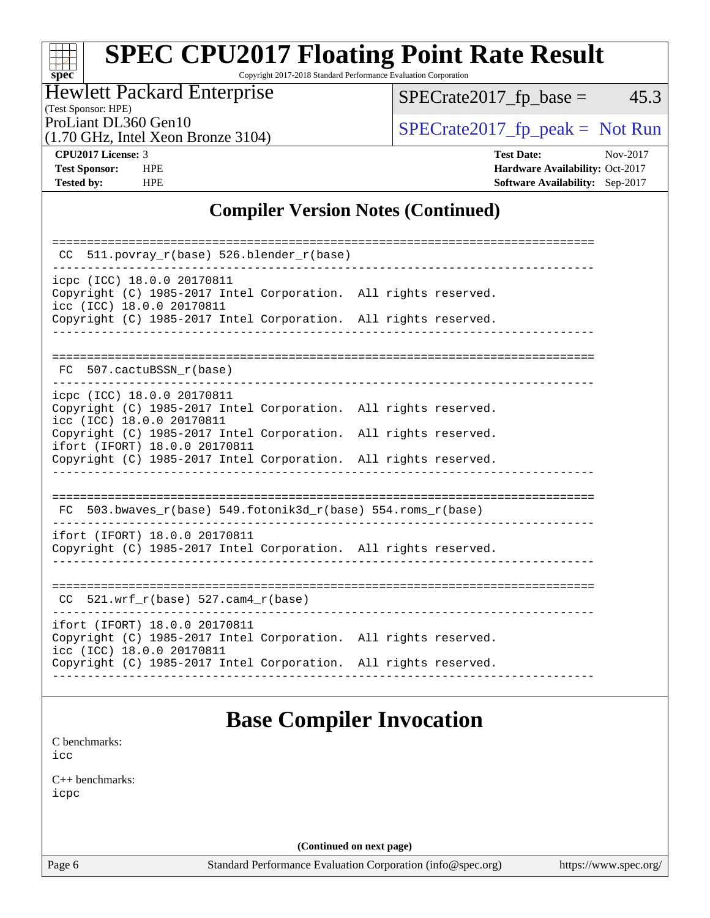# **[spec](http://www.spec.org/)**

# **[SPEC CPU2017 Floating Point Rate Result](http://www.spec.org/auto/cpu2017/Docs/result-fields.html#SPECCPU2017FloatingPointRateResult)**

Copyright 2017-2018 Standard Performance Evaluation Corporation

### Hewlett Packard Enterprise

 $SPECTate2017_fp\_base = 45.3$ 

(Test Sponsor: HPE)

(1.70 GHz, Intel Xeon Bronze 3104)

ProLiant DL360 Gen10<br>(1.70 GHz, Intel Yogn Bronze 3104) [SPECrate2017\\_fp\\_peak =](http://www.spec.org/auto/cpu2017/Docs/result-fields.html#SPECrate2017fppeak) Not Run

**[CPU2017 License:](http://www.spec.org/auto/cpu2017/Docs/result-fields.html#CPU2017License)** 3 **[Test Date:](http://www.spec.org/auto/cpu2017/Docs/result-fields.html#TestDate)** Nov-2017 **[Test Sponsor:](http://www.spec.org/auto/cpu2017/Docs/result-fields.html#TestSponsor)** HPE **[Hardware Availability:](http://www.spec.org/auto/cpu2017/Docs/result-fields.html#HardwareAvailability)** Oct-2017 **[Tested by:](http://www.spec.org/auto/cpu2017/Docs/result-fields.html#Testedby)** HPE **[Software Availability:](http://www.spec.org/auto/cpu2017/Docs/result-fields.html#SoftwareAvailability)** Sep-2017

#### **[Compiler Version Notes \(Continued\)](http://www.spec.org/auto/cpu2017/Docs/result-fields.html#CompilerVersionNotes)**

| 511.povray_r(base) 526.blender_r(base)<br>CC.                                                                                                                       |  |  |  |  |  |  |  |
|---------------------------------------------------------------------------------------------------------------------------------------------------------------------|--|--|--|--|--|--|--|
| icpc (ICC) 18.0.0 20170811<br>Copyright (C) 1985-2017 Intel Corporation. All rights reserved.<br>icc (ICC) 18.0.0 20170811                                          |  |  |  |  |  |  |  |
| Copyright (C) 1985-2017 Intel Corporation. All rights reserved.                                                                                                     |  |  |  |  |  |  |  |
| FC 507.cactuBSSN r(base)                                                                                                                                            |  |  |  |  |  |  |  |
| icpc (ICC) 18.0.0 20170811<br>Copyright (C) 1985-2017 Intel Corporation. All rights reserved.<br>icc (ICC) 18.0.0 20170811                                          |  |  |  |  |  |  |  |
| Copyright (C) 1985-2017 Intel Corporation. All rights reserved.<br>ifort (IFORT) 18.0.0 20170811<br>Copyright (C) 1985-2017 Intel Corporation. All rights reserved. |  |  |  |  |  |  |  |
|                                                                                                                                                                     |  |  |  |  |  |  |  |
| 503.bwaves $r(base)$ 549.fotonik3d $r(base)$ 554.roms $r(base)$<br>FC.                                                                                              |  |  |  |  |  |  |  |
| ifort (IFORT) 18.0.0 20170811<br>Copyright (C) 1985-2017 Intel Corporation. All rights reserved.                                                                    |  |  |  |  |  |  |  |
| 521.wrf $r(base)$ 527.cam4 $r(base)$<br>CC.                                                                                                                         |  |  |  |  |  |  |  |
| ifort (IFORT) 18.0.0 20170811<br>Copyright (C) 1985-2017 Intel Corporation. All rights reserved.<br>icc (ICC) 18.0.0 20170811                                       |  |  |  |  |  |  |  |
| Copyright (C) 1985-2017 Intel Corporation. All rights reserved.                                                                                                     |  |  |  |  |  |  |  |

### **[Base Compiler Invocation](http://www.spec.org/auto/cpu2017/Docs/result-fields.html#BaseCompilerInvocation)**

[C benchmarks](http://www.spec.org/auto/cpu2017/Docs/result-fields.html#Cbenchmarks): [icc](http://www.spec.org/cpu2017/results/res2017q4/cpu2017-20171128-01126.flags.html#user_CCbase_intel_icc_18.0_66fc1ee009f7361af1fbd72ca7dcefbb700085f36577c54f309893dd4ec40d12360134090235512931783d35fd58c0460139e722d5067c5574d8eaf2b3e37e92)

[C++ benchmarks:](http://www.spec.org/auto/cpu2017/Docs/result-fields.html#CXXbenchmarks) [icpc](http://www.spec.org/cpu2017/results/res2017q4/cpu2017-20171128-01126.flags.html#user_CXXbase_intel_icpc_18.0_c510b6838c7f56d33e37e94d029a35b4a7bccf4766a728ee175e80a419847e808290a9b78be685c44ab727ea267ec2f070ec5dc83b407c0218cded6866a35d07)

**(Continued on next page)**

Page 6 Standard Performance Evaluation Corporation [\(info@spec.org\)](mailto:info@spec.org) <https://www.spec.org/>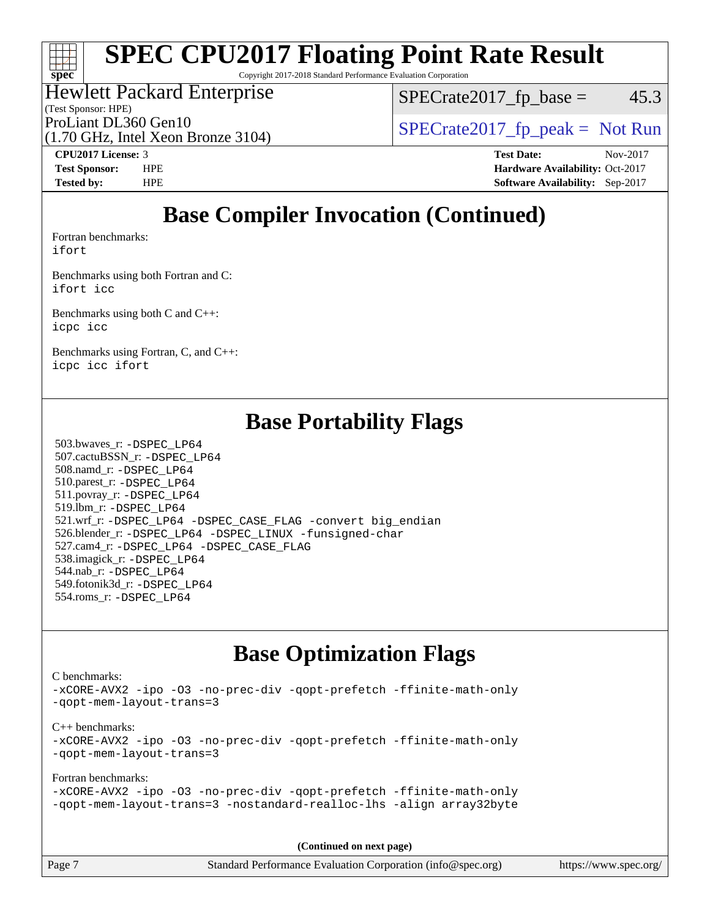Copyright 2017-2018 Standard Performance Evaluation Corporation

#### Hewlett Packard Enterprise

(Test Sponsor: HPE)

 $SPECTate2017<sub>fp</sub> base =  $45.3$$ 

(1.70 GHz, Intel Xeon Bronze 3104)

ProLiant DL360 Gen10  $SPECTR_{170}$  [SPECrate2017\\_fp\\_peak =](http://www.spec.org/auto/cpu2017/Docs/result-fields.html#SPECrate2017fppeak) Not Run

**[spec](http://www.spec.org/)**

H F

**[CPU2017 License:](http://www.spec.org/auto/cpu2017/Docs/result-fields.html#CPU2017License)** 3 **[Test Date:](http://www.spec.org/auto/cpu2017/Docs/result-fields.html#TestDate)** Nov-2017 **[Test Sponsor:](http://www.spec.org/auto/cpu2017/Docs/result-fields.html#TestSponsor)** HPE **[Hardware Availability:](http://www.spec.org/auto/cpu2017/Docs/result-fields.html#HardwareAvailability)** Oct-2017 **[Tested by:](http://www.spec.org/auto/cpu2017/Docs/result-fields.html#Testedby)** HPE **[Software Availability:](http://www.spec.org/auto/cpu2017/Docs/result-fields.html#SoftwareAvailability)** Sep-2017

### **[Base Compiler Invocation \(Continued\)](http://www.spec.org/auto/cpu2017/Docs/result-fields.html#BaseCompilerInvocation)**

[Fortran benchmarks](http://www.spec.org/auto/cpu2017/Docs/result-fields.html#Fortranbenchmarks): [ifort](http://www.spec.org/cpu2017/results/res2017q4/cpu2017-20171128-01126.flags.html#user_FCbase_intel_ifort_18.0_8111460550e3ca792625aed983ce982f94888b8b503583aa7ba2b8303487b4d8a21a13e7191a45c5fd58ff318f48f9492884d4413fa793fd88dd292cad7027ca)

[Benchmarks using both Fortran and C](http://www.spec.org/auto/cpu2017/Docs/result-fields.html#BenchmarksusingbothFortranandC): [ifort](http://www.spec.org/cpu2017/results/res2017q4/cpu2017-20171128-01126.flags.html#user_CC_FCbase_intel_ifort_18.0_8111460550e3ca792625aed983ce982f94888b8b503583aa7ba2b8303487b4d8a21a13e7191a45c5fd58ff318f48f9492884d4413fa793fd88dd292cad7027ca) [icc](http://www.spec.org/cpu2017/results/res2017q4/cpu2017-20171128-01126.flags.html#user_CC_FCbase_intel_icc_18.0_66fc1ee009f7361af1fbd72ca7dcefbb700085f36577c54f309893dd4ec40d12360134090235512931783d35fd58c0460139e722d5067c5574d8eaf2b3e37e92)

[Benchmarks using both C and C++](http://www.spec.org/auto/cpu2017/Docs/result-fields.html#BenchmarksusingbothCandCXX): [icpc](http://www.spec.org/cpu2017/results/res2017q4/cpu2017-20171128-01126.flags.html#user_CC_CXXbase_intel_icpc_18.0_c510b6838c7f56d33e37e94d029a35b4a7bccf4766a728ee175e80a419847e808290a9b78be685c44ab727ea267ec2f070ec5dc83b407c0218cded6866a35d07) [icc](http://www.spec.org/cpu2017/results/res2017q4/cpu2017-20171128-01126.flags.html#user_CC_CXXbase_intel_icc_18.0_66fc1ee009f7361af1fbd72ca7dcefbb700085f36577c54f309893dd4ec40d12360134090235512931783d35fd58c0460139e722d5067c5574d8eaf2b3e37e92)

[Benchmarks using Fortran, C, and C++:](http://www.spec.org/auto/cpu2017/Docs/result-fields.html#BenchmarksusingFortranCandCXX) [icpc](http://www.spec.org/cpu2017/results/res2017q4/cpu2017-20171128-01126.flags.html#user_CC_CXX_FCbase_intel_icpc_18.0_c510b6838c7f56d33e37e94d029a35b4a7bccf4766a728ee175e80a419847e808290a9b78be685c44ab727ea267ec2f070ec5dc83b407c0218cded6866a35d07) [icc](http://www.spec.org/cpu2017/results/res2017q4/cpu2017-20171128-01126.flags.html#user_CC_CXX_FCbase_intel_icc_18.0_66fc1ee009f7361af1fbd72ca7dcefbb700085f36577c54f309893dd4ec40d12360134090235512931783d35fd58c0460139e722d5067c5574d8eaf2b3e37e92) [ifort](http://www.spec.org/cpu2017/results/res2017q4/cpu2017-20171128-01126.flags.html#user_CC_CXX_FCbase_intel_ifort_18.0_8111460550e3ca792625aed983ce982f94888b8b503583aa7ba2b8303487b4d8a21a13e7191a45c5fd58ff318f48f9492884d4413fa793fd88dd292cad7027ca)

### **[Base Portability Flags](http://www.spec.org/auto/cpu2017/Docs/result-fields.html#BasePortabilityFlags)**

 503.bwaves\_r: [-DSPEC\\_LP64](http://www.spec.org/cpu2017/results/res2017q4/cpu2017-20171128-01126.flags.html#suite_basePORTABILITY503_bwaves_r_DSPEC_LP64) 507.cactuBSSN\_r: [-DSPEC\\_LP64](http://www.spec.org/cpu2017/results/res2017q4/cpu2017-20171128-01126.flags.html#suite_basePORTABILITY507_cactuBSSN_r_DSPEC_LP64) 508.namd\_r: [-DSPEC\\_LP64](http://www.spec.org/cpu2017/results/res2017q4/cpu2017-20171128-01126.flags.html#suite_basePORTABILITY508_namd_r_DSPEC_LP64) 510.parest\_r: [-DSPEC\\_LP64](http://www.spec.org/cpu2017/results/res2017q4/cpu2017-20171128-01126.flags.html#suite_basePORTABILITY510_parest_r_DSPEC_LP64) 511.povray\_r: [-DSPEC\\_LP64](http://www.spec.org/cpu2017/results/res2017q4/cpu2017-20171128-01126.flags.html#suite_basePORTABILITY511_povray_r_DSPEC_LP64) 519.lbm\_r: [-DSPEC\\_LP64](http://www.spec.org/cpu2017/results/res2017q4/cpu2017-20171128-01126.flags.html#suite_basePORTABILITY519_lbm_r_DSPEC_LP64) 521.wrf\_r: [-DSPEC\\_LP64](http://www.spec.org/cpu2017/results/res2017q4/cpu2017-20171128-01126.flags.html#suite_basePORTABILITY521_wrf_r_DSPEC_LP64) [-DSPEC\\_CASE\\_FLAG](http://www.spec.org/cpu2017/results/res2017q4/cpu2017-20171128-01126.flags.html#b521.wrf_r_baseCPORTABILITY_DSPEC_CASE_FLAG) [-convert big\\_endian](http://www.spec.org/cpu2017/results/res2017q4/cpu2017-20171128-01126.flags.html#user_baseFPORTABILITY521_wrf_r_convert_big_endian_c3194028bc08c63ac5d04de18c48ce6d347e4e562e8892b8bdbdc0214820426deb8554edfa529a3fb25a586e65a3d812c835984020483e7e73212c4d31a38223) 526.blender\_r: [-DSPEC\\_LP64](http://www.spec.org/cpu2017/results/res2017q4/cpu2017-20171128-01126.flags.html#suite_basePORTABILITY526_blender_r_DSPEC_LP64) [-DSPEC\\_LINUX](http://www.spec.org/cpu2017/results/res2017q4/cpu2017-20171128-01126.flags.html#b526.blender_r_baseCPORTABILITY_DSPEC_LINUX) [-funsigned-char](http://www.spec.org/cpu2017/results/res2017q4/cpu2017-20171128-01126.flags.html#user_baseCPORTABILITY526_blender_r_force_uchar_40c60f00ab013830e2dd6774aeded3ff59883ba5a1fc5fc14077f794d777847726e2a5858cbc7672e36e1b067e7e5c1d9a74f7176df07886a243d7cc18edfe67) 527.cam4\_r: [-DSPEC\\_LP64](http://www.spec.org/cpu2017/results/res2017q4/cpu2017-20171128-01126.flags.html#suite_basePORTABILITY527_cam4_r_DSPEC_LP64) [-DSPEC\\_CASE\\_FLAG](http://www.spec.org/cpu2017/results/res2017q4/cpu2017-20171128-01126.flags.html#b527.cam4_r_baseCPORTABILITY_DSPEC_CASE_FLAG) 538.imagick\_r: [-DSPEC\\_LP64](http://www.spec.org/cpu2017/results/res2017q4/cpu2017-20171128-01126.flags.html#suite_basePORTABILITY538_imagick_r_DSPEC_LP64) 544.nab\_r: [-DSPEC\\_LP64](http://www.spec.org/cpu2017/results/res2017q4/cpu2017-20171128-01126.flags.html#suite_basePORTABILITY544_nab_r_DSPEC_LP64) 549.fotonik3d\_r: [-DSPEC\\_LP64](http://www.spec.org/cpu2017/results/res2017q4/cpu2017-20171128-01126.flags.html#suite_basePORTABILITY549_fotonik3d_r_DSPEC_LP64) 554.roms\_r: [-DSPEC\\_LP64](http://www.spec.org/cpu2017/results/res2017q4/cpu2017-20171128-01126.flags.html#suite_basePORTABILITY554_roms_r_DSPEC_LP64)

### **[Base Optimization Flags](http://www.spec.org/auto/cpu2017/Docs/result-fields.html#BaseOptimizationFlags)**

[C benchmarks](http://www.spec.org/auto/cpu2017/Docs/result-fields.html#Cbenchmarks): [-xCORE-AVX2](http://www.spec.org/cpu2017/results/res2017q4/cpu2017-20171128-01126.flags.html#user_CCbase_f-xCORE-AVX2) [-ipo](http://www.spec.org/cpu2017/results/res2017q4/cpu2017-20171128-01126.flags.html#user_CCbase_f-ipo) [-O3](http://www.spec.org/cpu2017/results/res2017q4/cpu2017-20171128-01126.flags.html#user_CCbase_f-O3) [-no-prec-div](http://www.spec.org/cpu2017/results/res2017q4/cpu2017-20171128-01126.flags.html#user_CCbase_f-no-prec-div) [-qopt-prefetch](http://www.spec.org/cpu2017/results/res2017q4/cpu2017-20171128-01126.flags.html#user_CCbase_f-qopt-prefetch) [-ffinite-math-only](http://www.spec.org/cpu2017/results/res2017q4/cpu2017-20171128-01126.flags.html#user_CCbase_f_finite_math_only_cb91587bd2077682c4b38af759c288ed7c732db004271a9512da14a4f8007909a5f1427ecbf1a0fb78ff2a814402c6114ac565ca162485bbcae155b5e4258871) [-qopt-mem-layout-trans=3](http://www.spec.org/cpu2017/results/res2017q4/cpu2017-20171128-01126.flags.html#user_CCbase_f-qopt-mem-layout-trans_de80db37974c74b1f0e20d883f0b675c88c3b01e9d123adea9b28688d64333345fb62bc4a798493513fdb68f60282f9a726aa07f478b2f7113531aecce732043) [C++ benchmarks:](http://www.spec.org/auto/cpu2017/Docs/result-fields.html#CXXbenchmarks) [-xCORE-AVX2](http://www.spec.org/cpu2017/results/res2017q4/cpu2017-20171128-01126.flags.html#user_CXXbase_f-xCORE-AVX2) [-ipo](http://www.spec.org/cpu2017/results/res2017q4/cpu2017-20171128-01126.flags.html#user_CXXbase_f-ipo) [-O3](http://www.spec.org/cpu2017/results/res2017q4/cpu2017-20171128-01126.flags.html#user_CXXbase_f-O3) [-no-prec-div](http://www.spec.org/cpu2017/results/res2017q4/cpu2017-20171128-01126.flags.html#user_CXXbase_f-no-prec-div) [-qopt-prefetch](http://www.spec.org/cpu2017/results/res2017q4/cpu2017-20171128-01126.flags.html#user_CXXbase_f-qopt-prefetch) [-ffinite-math-only](http://www.spec.org/cpu2017/results/res2017q4/cpu2017-20171128-01126.flags.html#user_CXXbase_f_finite_math_only_cb91587bd2077682c4b38af759c288ed7c732db004271a9512da14a4f8007909a5f1427ecbf1a0fb78ff2a814402c6114ac565ca162485bbcae155b5e4258871) [-qopt-mem-layout-trans=3](http://www.spec.org/cpu2017/results/res2017q4/cpu2017-20171128-01126.flags.html#user_CXXbase_f-qopt-mem-layout-trans_de80db37974c74b1f0e20d883f0b675c88c3b01e9d123adea9b28688d64333345fb62bc4a798493513fdb68f60282f9a726aa07f478b2f7113531aecce732043) [Fortran benchmarks](http://www.spec.org/auto/cpu2017/Docs/result-fields.html#Fortranbenchmarks): [-xCORE-AVX2](http://www.spec.org/cpu2017/results/res2017q4/cpu2017-20171128-01126.flags.html#user_FCbase_f-xCORE-AVX2) [-ipo](http://www.spec.org/cpu2017/results/res2017q4/cpu2017-20171128-01126.flags.html#user_FCbase_f-ipo) [-O3](http://www.spec.org/cpu2017/results/res2017q4/cpu2017-20171128-01126.flags.html#user_FCbase_f-O3) [-no-prec-div](http://www.spec.org/cpu2017/results/res2017q4/cpu2017-20171128-01126.flags.html#user_FCbase_f-no-prec-div) [-qopt-prefetch](http://www.spec.org/cpu2017/results/res2017q4/cpu2017-20171128-01126.flags.html#user_FCbase_f-qopt-prefetch) [-ffinite-math-only](http://www.spec.org/cpu2017/results/res2017q4/cpu2017-20171128-01126.flags.html#user_FCbase_f_finite_math_only_cb91587bd2077682c4b38af759c288ed7c732db004271a9512da14a4f8007909a5f1427ecbf1a0fb78ff2a814402c6114ac565ca162485bbcae155b5e4258871)

[-qopt-mem-layout-trans=3](http://www.spec.org/cpu2017/results/res2017q4/cpu2017-20171128-01126.flags.html#user_FCbase_f-qopt-mem-layout-trans_de80db37974c74b1f0e20d883f0b675c88c3b01e9d123adea9b28688d64333345fb62bc4a798493513fdb68f60282f9a726aa07f478b2f7113531aecce732043) [-nostandard-realloc-lhs](http://www.spec.org/cpu2017/results/res2017q4/cpu2017-20171128-01126.flags.html#user_FCbase_f_2003_std_realloc_82b4557e90729c0f113870c07e44d33d6f5a304b4f63d4c15d2d0f1fab99f5daaed73bdb9275d9ae411527f28b936061aa8b9c8f2d63842963b95c9dd6426b8a) [-align array32byte](http://www.spec.org/cpu2017/results/res2017q4/cpu2017-20171128-01126.flags.html#user_FCbase_align_array32byte_b982fe038af199962ba9a80c053b8342c548c85b40b8e86eb3cc33dee0d7986a4af373ac2d51c3f7cf710a18d62fdce2948f201cd044323541f22fc0fffc51b6)

**(Continued on next page)**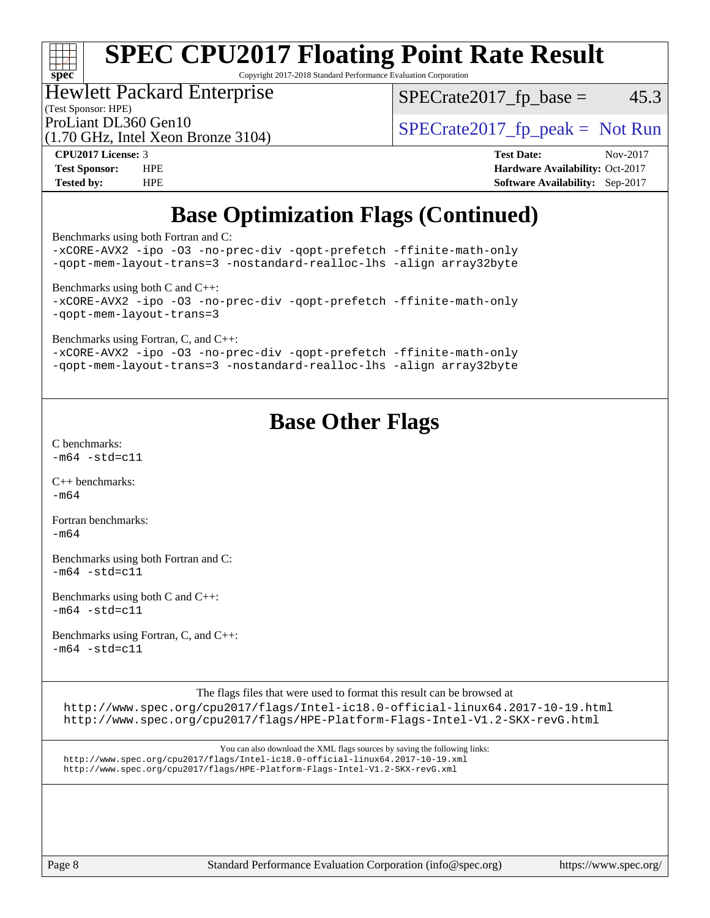# **[spec](http://www.spec.org/)**

# **[SPEC CPU2017 Floating Point Rate Result](http://www.spec.org/auto/cpu2017/Docs/result-fields.html#SPECCPU2017FloatingPointRateResult)**

Copyright 2017-2018 Standard Performance Evaluation Corporation

#### Hewlett Packard Enterprise

(1.70 GHz, Intel Xeon Bronze 3104)

 $SPECTate2017<sub>fp</sub> base =  $45.3$$ 

(Test Sponsor: HPE)

ProLiant DL360 Gen10<br>(1.70 GHz, Intel Xeon Bronze 3104) [SPECrate2017\\_fp\\_peak =](http://www.spec.org/auto/cpu2017/Docs/result-fields.html#SPECrate2017fppeak) Not Run

**[CPU2017 License:](http://www.spec.org/auto/cpu2017/Docs/result-fields.html#CPU2017License)** 3 **[Test Date:](http://www.spec.org/auto/cpu2017/Docs/result-fields.html#TestDate)** Nov-2017 **[Test Sponsor:](http://www.spec.org/auto/cpu2017/Docs/result-fields.html#TestSponsor)** HPE **[Hardware Availability:](http://www.spec.org/auto/cpu2017/Docs/result-fields.html#HardwareAvailability)** Oct-2017 **[Tested by:](http://www.spec.org/auto/cpu2017/Docs/result-fields.html#Testedby)** HPE **[Software Availability:](http://www.spec.org/auto/cpu2017/Docs/result-fields.html#SoftwareAvailability)** Sep-2017

### **[Base Optimization Flags \(Continued\)](http://www.spec.org/auto/cpu2017/Docs/result-fields.html#BaseOptimizationFlags)**

[Benchmarks using both Fortran and C](http://www.spec.org/auto/cpu2017/Docs/result-fields.html#BenchmarksusingbothFortranandC):

[-xCORE-AVX2](http://www.spec.org/cpu2017/results/res2017q4/cpu2017-20171128-01126.flags.html#user_CC_FCbase_f-xCORE-AVX2) [-ipo](http://www.spec.org/cpu2017/results/res2017q4/cpu2017-20171128-01126.flags.html#user_CC_FCbase_f-ipo) [-O3](http://www.spec.org/cpu2017/results/res2017q4/cpu2017-20171128-01126.flags.html#user_CC_FCbase_f-O3) [-no-prec-div](http://www.spec.org/cpu2017/results/res2017q4/cpu2017-20171128-01126.flags.html#user_CC_FCbase_f-no-prec-div) [-qopt-prefetch](http://www.spec.org/cpu2017/results/res2017q4/cpu2017-20171128-01126.flags.html#user_CC_FCbase_f-qopt-prefetch) [-ffinite-math-only](http://www.spec.org/cpu2017/results/res2017q4/cpu2017-20171128-01126.flags.html#user_CC_FCbase_f_finite_math_only_cb91587bd2077682c4b38af759c288ed7c732db004271a9512da14a4f8007909a5f1427ecbf1a0fb78ff2a814402c6114ac565ca162485bbcae155b5e4258871) [-qopt-mem-layout-trans=3](http://www.spec.org/cpu2017/results/res2017q4/cpu2017-20171128-01126.flags.html#user_CC_FCbase_f-qopt-mem-layout-trans_de80db37974c74b1f0e20d883f0b675c88c3b01e9d123adea9b28688d64333345fb62bc4a798493513fdb68f60282f9a726aa07f478b2f7113531aecce732043) [-nostandard-realloc-lhs](http://www.spec.org/cpu2017/results/res2017q4/cpu2017-20171128-01126.flags.html#user_CC_FCbase_f_2003_std_realloc_82b4557e90729c0f113870c07e44d33d6f5a304b4f63d4c15d2d0f1fab99f5daaed73bdb9275d9ae411527f28b936061aa8b9c8f2d63842963b95c9dd6426b8a) [-align array32byte](http://www.spec.org/cpu2017/results/res2017q4/cpu2017-20171128-01126.flags.html#user_CC_FCbase_align_array32byte_b982fe038af199962ba9a80c053b8342c548c85b40b8e86eb3cc33dee0d7986a4af373ac2d51c3f7cf710a18d62fdce2948f201cd044323541f22fc0fffc51b6) [Benchmarks using both C and C++](http://www.spec.org/auto/cpu2017/Docs/result-fields.html#BenchmarksusingbothCandCXX): [-xCORE-AVX2](http://www.spec.org/cpu2017/results/res2017q4/cpu2017-20171128-01126.flags.html#user_CC_CXXbase_f-xCORE-AVX2) [-ipo](http://www.spec.org/cpu2017/results/res2017q4/cpu2017-20171128-01126.flags.html#user_CC_CXXbase_f-ipo) [-O3](http://www.spec.org/cpu2017/results/res2017q4/cpu2017-20171128-01126.flags.html#user_CC_CXXbase_f-O3) [-no-prec-div](http://www.spec.org/cpu2017/results/res2017q4/cpu2017-20171128-01126.flags.html#user_CC_CXXbase_f-no-prec-div) [-qopt-prefetch](http://www.spec.org/cpu2017/results/res2017q4/cpu2017-20171128-01126.flags.html#user_CC_CXXbase_f-qopt-prefetch) [-ffinite-math-only](http://www.spec.org/cpu2017/results/res2017q4/cpu2017-20171128-01126.flags.html#user_CC_CXXbase_f_finite_math_only_cb91587bd2077682c4b38af759c288ed7c732db004271a9512da14a4f8007909a5f1427ecbf1a0fb78ff2a814402c6114ac565ca162485bbcae155b5e4258871) [-qopt-mem-layout-trans=3](http://www.spec.org/cpu2017/results/res2017q4/cpu2017-20171128-01126.flags.html#user_CC_CXXbase_f-qopt-mem-layout-trans_de80db37974c74b1f0e20d883f0b675c88c3b01e9d123adea9b28688d64333345fb62bc4a798493513fdb68f60282f9a726aa07f478b2f7113531aecce732043) [Benchmarks using Fortran, C, and C++:](http://www.spec.org/auto/cpu2017/Docs/result-fields.html#BenchmarksusingFortranCandCXX) [-xCORE-AVX2](http://www.spec.org/cpu2017/results/res2017q4/cpu2017-20171128-01126.flags.html#user_CC_CXX_FCbase_f-xCORE-AVX2) [-ipo](http://www.spec.org/cpu2017/results/res2017q4/cpu2017-20171128-01126.flags.html#user_CC_CXX_FCbase_f-ipo) [-O3](http://www.spec.org/cpu2017/results/res2017q4/cpu2017-20171128-01126.flags.html#user_CC_CXX_FCbase_f-O3) [-no-prec-div](http://www.spec.org/cpu2017/results/res2017q4/cpu2017-20171128-01126.flags.html#user_CC_CXX_FCbase_f-no-prec-div) [-qopt-prefetch](http://www.spec.org/cpu2017/results/res2017q4/cpu2017-20171128-01126.flags.html#user_CC_CXX_FCbase_f-qopt-prefetch) [-ffinite-math-only](http://www.spec.org/cpu2017/results/res2017q4/cpu2017-20171128-01126.flags.html#user_CC_CXX_FCbase_f_finite_math_only_cb91587bd2077682c4b38af759c288ed7c732db004271a9512da14a4f8007909a5f1427ecbf1a0fb78ff2a814402c6114ac565ca162485bbcae155b5e4258871) [-qopt-mem-layout-trans=3](http://www.spec.org/cpu2017/results/res2017q4/cpu2017-20171128-01126.flags.html#user_CC_CXX_FCbase_f-qopt-mem-layout-trans_de80db37974c74b1f0e20d883f0b675c88c3b01e9d123adea9b28688d64333345fb62bc4a798493513fdb68f60282f9a726aa07f478b2f7113531aecce732043) [-nostandard-realloc-lhs](http://www.spec.org/cpu2017/results/res2017q4/cpu2017-20171128-01126.flags.html#user_CC_CXX_FCbase_f_2003_std_realloc_82b4557e90729c0f113870c07e44d33d6f5a304b4f63d4c15d2d0f1fab99f5daaed73bdb9275d9ae411527f28b936061aa8b9c8f2d63842963b95c9dd6426b8a) [-align array32byte](http://www.spec.org/cpu2017/results/res2017q4/cpu2017-20171128-01126.flags.html#user_CC_CXX_FCbase_align_array32byte_b982fe038af199962ba9a80c053b8342c548c85b40b8e86eb3cc33dee0d7986a4af373ac2d51c3f7cf710a18d62fdce2948f201cd044323541f22fc0fffc51b6)

### **[Base Other Flags](http://www.spec.org/auto/cpu2017/Docs/result-fields.html#BaseOtherFlags)**

[C benchmarks](http://www.spec.org/auto/cpu2017/Docs/result-fields.html#Cbenchmarks):  $-m64 - std = c11$  $-m64 - std = c11$ 

[C++ benchmarks:](http://www.spec.org/auto/cpu2017/Docs/result-fields.html#CXXbenchmarks) [-m64](http://www.spec.org/cpu2017/results/res2017q4/cpu2017-20171128-01126.flags.html#user_CXXbase_intel_intel64_18.0_af43caccfc8ded86e7699f2159af6efc7655f51387b94da716254467f3c01020a5059329e2569e4053f409e7c9202a7efc638f7a6d1ffb3f52dea4a3e31d82ab)

[Fortran benchmarks](http://www.spec.org/auto/cpu2017/Docs/result-fields.html#Fortranbenchmarks):  $-m64$ 

[Benchmarks using both Fortran and C](http://www.spec.org/auto/cpu2017/Docs/result-fields.html#BenchmarksusingbothFortranandC):  $-m64 - std = c11$  $-m64 - std = c11$ 

[Benchmarks using both C and C++](http://www.spec.org/auto/cpu2017/Docs/result-fields.html#BenchmarksusingbothCandCXX):  $-m64 - std = c11$  $-m64 - std = c11$ 

[Benchmarks using Fortran, C, and C++:](http://www.spec.org/auto/cpu2017/Docs/result-fields.html#BenchmarksusingFortranCandCXX)  $-m64 - std = c11$  $-m64 - std = c11$ 

The flags files that were used to format this result can be browsed at

<http://www.spec.org/cpu2017/flags/Intel-ic18.0-official-linux64.2017-10-19.html> <http://www.spec.org/cpu2017/flags/HPE-Platform-Flags-Intel-V1.2-SKX-revG.html>

You can also download the XML flags sources by saving the following links: <http://www.spec.org/cpu2017/flags/Intel-ic18.0-official-linux64.2017-10-19.xml> <http://www.spec.org/cpu2017/flags/HPE-Platform-Flags-Intel-V1.2-SKX-revG.xml>